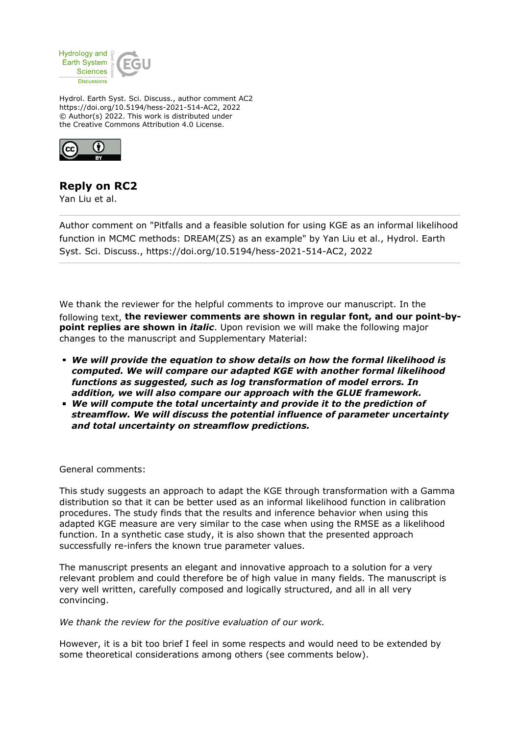

Hydrol. Earth Syst. Sci. Discuss., author comment AC2 https://doi.org/10.5194/hess-2021-514-AC2, 2022 © Author(s) 2022. This work is distributed under the Creative Commons Attribution 4.0 License.



## **Reply on RC2**

Yan Liu et al.

Author comment on "Pitfalls and a feasible solution for using KGE as an informal likelihood function in MCMC methods: DREAM(ZS) as an example" by Yan Liu et al., Hydrol. Earth Syst. Sci. Discuss., https://doi.org/10.5194/hess-2021-514-AC2, 2022

We thank the reviewer for the helpful comments to improve our manuscript. In the following text, **the reviewer comments are shown in regular font, and our point-bypoint replies are shown in** *italic*. Upon revision we will make the following major changes to the manuscript and Supplementary Material:

- *We will provide the equation to show details on how the formal likelihood is computed. We will compare our adapted KGE with another formal likelihood functions as suggested, such as log transformation of model errors. In addition, we will also compare our approach with the GLUE framework.*
- *We will compute the total uncertainty and provide it to the prediction of streamflow. We will discuss the potential influence of parameter uncertainty and total uncertainty on streamflow predictions.*

General comments:

This study suggests an approach to adapt the KGE through transformation with a Gamma distribution so that it can be better used as an informal likelihood function in calibration procedures. The study finds that the results and inference behavior when using this adapted KGE measure are very similar to the case when using the RMSE as a likelihood function. In a synthetic case study, it is also shown that the presented approach successfully re-infers the known true parameter values.

The manuscript presents an elegant and innovative approach to a solution for a very relevant problem and could therefore be of high value in many fields. The manuscript is very well written, carefully composed and logically structured, and all in all very convincing.

*We thank the review for the positive evaluation of our work.*

However, it is a bit too brief I feel in some respects and would need to be extended by some theoretical considerations among others (see comments below).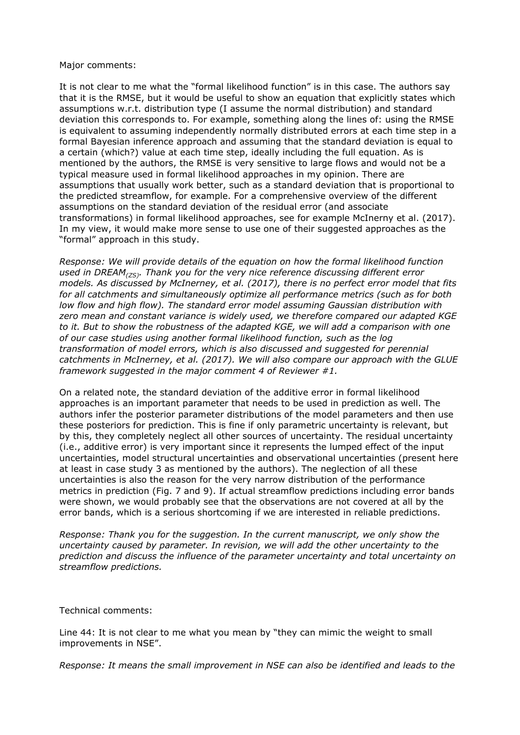## Major comments:

It is not clear to me what the "formal likelihood function" is in this case. The authors say that it is the RMSE, but it would be useful to show an equation that explicitly states which assumptions w.r.t. distribution type (I assume the normal distribution) and standard deviation this corresponds to. For example, something along the lines of: using the RMSE is equivalent to assuming independently normally distributed errors at each time step in a formal Bayesian inference approach and assuming that the standard deviation is equal to a certain (which?) value at each time step, ideally including the full equation. As is mentioned by the authors, the RMSE is very sensitive to large flows and would not be a typical measure used in formal likelihood approaches in my opinion. There are assumptions that usually work better, such as a standard deviation that is proportional to the predicted streamflow, for example. For a comprehensive overview of the different assumptions on the standard deviation of the residual error (and associate transformations) in formal likelihood approaches, see for example McInerny et al. (2017). In my view, it would make more sense to use one of their suggested approaches as the "formal" approach in this study.

*Response: We will provide details of the equation on how the formal likelihood function used in DREAM(ZS). Thank you for the very nice reference discussing different error models. As discussed by McInerney, et al. (2017), there is no perfect error model that fits for all catchments and simultaneously optimize all performance metrics (such as for both low flow and high flow). The standard error model assuming Gaussian distribution with zero mean and constant variance is widely used, we therefore compared our adapted KGE to it. But to show the robustness of the adapted KGE, we will add a comparison with one of our case studies using another formal likelihood function, such as the log transformation of model errors, which is also discussed and suggested for perennial catchments in McInerney, et al. (2017). We will also compare our approach with the GLUE framework suggested in the major comment 4 of Reviewer #1.*

On a related note, the standard deviation of the additive error in formal likelihood approaches is an important parameter that needs to be used in prediction as well. The authors infer the posterior parameter distributions of the model parameters and then use these posteriors for prediction. This is fine if only parametric uncertainty is relevant, but by this, they completely neglect all other sources of uncertainty. The residual uncertainty (i.e., additive error) is very important since it represents the lumped effect of the input uncertainties, model structural uncertainties and observational uncertainties (present here at least in case study 3 as mentioned by the authors). The neglection of all these uncertainties is also the reason for the very narrow distribution of the performance metrics in prediction (Fig. 7 and 9). If actual streamflow predictions including error bands were shown, we would probably see that the observations are not covered at all by the error bands, which is a serious shortcoming if we are interested in reliable predictions.

*Response: Thank you for the suggestion. In the current manuscript, we only show the uncertainty caused by parameter. In revision, we will add the other uncertainty to the prediction and discuss the influence of the parameter uncertainty and total uncertainty on streamflow predictions.*

## Technical comments:

Line 44: It is not clear to me what you mean by "they can mimic the weight to small improvements in NSE".

*Response: It means the small improvement in NSE can also be identified and leads to the*